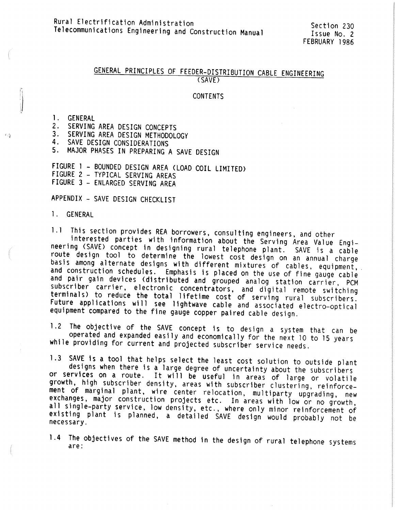# GENERAL PRINCIPLES OF FEEDER-DISTRIBUTION CABLE ENGINEERING (SAVE)

#### CONTENTS

#### 1. GENERAL

, I

2. SERVING AREA DESIGN CONCEPTS

SERVING AREA DESIGN METHODOLOGY

4. SAVE DESIGN CONSIDERATIONS<br>5. MAJOR PHASES IN PREPARING.

MAJOR PHASES IN PREPARING A SAVE DESIGN

FIGURE 1- BOUNDED DESIGN AREA {LOAD COIL LIMITED) FIGURE 2 - TYPICAL SERVING AREAS FIGURE 3 - ENLARGED SERVING AREA

APPENDIX - SAVE DESIGN CHECKLIST

1. GENERAL

1.1 This section provides REA borrowers, consulting engineers, and other<br>interested parties with information about the Serving Area Value Engi-<br>neering (SAVE) concept in designing rural telephone plant. SAVE is a cable<br>rou basis among alternate designs with different mixtures of cables, equipment, and construction schedules. Emphasis is placed on the use of fine gauge cable and pair gain devices (distributed and grouped analog station carrier, PCM subscriber carrier, electronic concentrators, and digital remote switching terminals) to reduce the total lifetime cost of serving rural subscribers. Future applications will see lightwave cable and associated electro-optical equipment compared to the fine gauge copper paired cable design.

1.2 The objective of the SAVE concept is to design a system that can be operated and expanded easily and economically for the next 10 to 15 years while providing for current and projected subscriber service needs.

1.3 SAVE is a tool that helps select the least cost solution to outside plant designs when there is a large degree of uncertainty about the subscribers or services on a route. It will be useful in areas of large or volatile growth, high subscriber density, areas with subscriber clustering, reinforcement of marginal plant, wire center relocation, multiparty upgrading, new exchanges, major construction projects etc. In areas with low or no growth, all single-party service, low density, etc., where only minor reinforcement of existing plant is planned, a detailed SAVE design would probably not be necessary.

1.4 The objectives of the SAVE method in the design of rural telephone systems<br>are: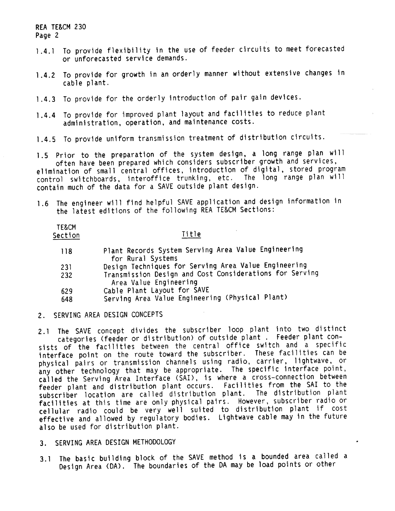- 1.4.1 To provide flexibility in the use of feeder circuits to meet forecasted or unforecasted service demands.
- 1.4.2 To provide for growth in an orderly manner without extensive changes in cable plant.
- l .4.3 To provide for the orderly introduction of pair gain devices.
- <sup>l</sup>**.4.4** To provide for improved plant layout and facilities to reduce plant administration, operation, and maintenance costs.
- 1.4.5 To provide uniform transmission treatment of distribution circuits.

1.5 Prior to the preparation of the system design, a long range plan will often have been prepared which considers subscriber growth and services, elimination of small central offices, introduction of digital, stored program control switchboards, interoffice trunking, etc. The long range plan will contain much of the data for a SAVE outside plant design.

1.6 The engineer will find helpful SAVE application and design information in the latest editions of the following REA TE&CM Sections:

| <b>TE&amp;CM</b> |  |
|------------------|--|
| Section          |  |

## Title

| 118 | Plant Records System Serving Area Value Engineering<br>for Rural Systems          |
|-----|-----------------------------------------------------------------------------------|
| 231 | Design Techniques for Serving Area Value Engineering                              |
| 232 | Transmission Design and Cost Considerations for Serving<br>Area Value Engineering |
| 629 | Cable Plant Layout for SAVE                                                       |
| 648 | Serving Area Value Engineering (Physical Plant)                                   |

2. SERVING AREA DESIGN CONCEPTS

2.1 The SAVE concept divides the subscriber loop plant into two distinct categories (feeder or distribution) of outside plant . Feeder plant con- sists of the facilities between the central office switch and a specific interface point on the route toward the subscriber. These facilities can be <sup>p</sup>hysical pairs or transmission channels using radio, carrier, lightwave, or any other technology that may be appropriate. The specific interface point, called the Serving Area Interface (SA!), is where a cross-connection between feeder plant and distribution plant occurs. Facilities from the SAI to the subscriber location are called distribution plant. The distribution plant facilities at this time are only physical pairs. However, subscriber radio or cellular radio could be very well suited to distribution plant if cost effective and allowed by regulatory bodies. Lightwave cable may in the future also be used for distribution plant.

#### 3. SERVING AREA DESIGN METHODOLOGY

3.1 The basic building block of the SAVE method is a bounded area called a<br>Design Area (DA). The boundaries of the DA may be load points or other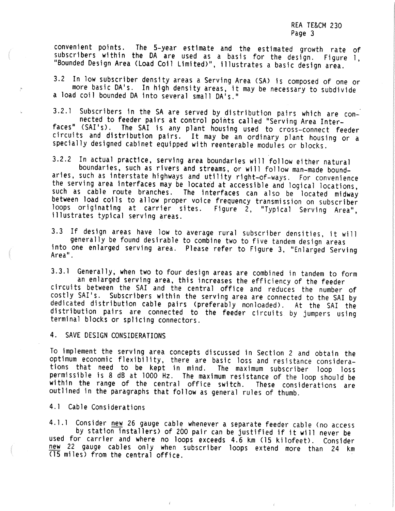convenient points. The 5-year estimate and the estimated growth rate of subscribers within the DA are used as a basis for the design. Figure 1, "Bounded Design Area (Load Coil Limited)", illustrates a basic design area.

3.2 In low subscriber density areas a Serving Area (SA) is composed of one or more basic DA's. In high density areas, it may be necessary to subdivide a load coil bounded DA into several small DA's."

3.2.1 Subscribers in the SA are served by distribution pairs which are con-<br>nected to feeder pairs at control points called "Serving Area Inter-<br>faces" (SAI's). The SAI is any plant housing used to cross-connect feeder circuits and distribution pairs. It may be an ordinary plant housing or a specially designed cabinet equipped with reenterable modules or blocks.

3.2.2 In actual practice, serving area boundaries will follow either natural<br>boundaries, such as rivers and streams, or will follow man-made bound-<br>aries, such as interstate highways and utility right-of-ways. For convenie the serving area interfaces may be located at accessible and logical locations, such as cable route branches. The interfaces can also be located midway between load coils to allow proper voice frequency transmission on subscriber loops originating at carrier sites. Figure  $\overline{2}$ , "Typical Serving Area", illustrates typical serving areas.

3.3 If design areas have low to average rural subscriber densities, it will generally be found desirable to combine two to five tandem design areas into one enlarged serving area. Please refer to Figure 3, "Enlarged Serving Area".

3.3. l Generally, when two to four design areas are combined in tandem to form an enlarged serving area, this increases the efficiency of the feeder circuits between the SAI and the central office and reduces the number of costly SAI's. Subscribers within the serving area are connected to the SAI by dedicated distribution cable pairs (preferably nonloaded). At the SAI the distribution pairs are connected to the feeder circuits by jumpers using terminal blocks or splicing connectors.

4. SAVE DESIGN CONSIDERATIONS

To implement the serving area concepts discussed in Section 2 and obtain the optimum economic flexibility, there are basic loss and resistance considerations that need to be kept in mind. permissible is 8 dB at 1000 Hz. The maximum resistance of the loop should be within the range of the central office switch. outlined in the paragraphs that follow as general rules of thumb.

4. l Cable Considerations

4.1.1 Consider <u>new</u> 26 gauge cable whenever a separate feeder cable (no access<br>by station installers) of 200 pair can be justified if it will never be<br>used for carrier and where no loops exceeds 4.6 km (15 kilofeet). Cons new 22 gauge cables only when subscriber loops extend more than 24 km  $(15 \text{ miles})$  from the central office.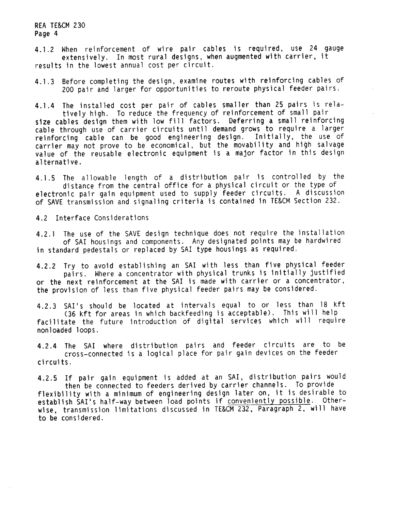4. 1.2 When reinforcement of wire pair cables is required, use 24 gauge extensively. In most rural designs, when augmented with carrier, it results in the lowest annual cost per circuit.

4. 1 .3 Before completing the design, examine routes with reinforcing cables of 200 pair and larger for opportunities to reroute physical feeder pairs.

**4.1.4** The instaHed cost per pair of cables smaller than 25 pairs is rela- tively high. To reduce the frequency of reinforcement of small pair

cable through use of carrier circuits until demand grows to require a larger reinforcing cable can be good engineering design. Initially, the use of<br>carrier may not prove to be economical, but the movability and high salvage value of the reusable electronic equipment is a major factor in this design a 1.ternati ve.

4. 1 .5 The allowable length of a distribution pair is controlled by the distance from the central office for a physical circuit or the type of electronic pair gain equipment used to supply feeder circuits. A discussion of SAVE transmission and signaling criteria is contained in TE&CM Section 232.

4.2 Interface Considerations

4.2.1 The use of the SAVE design technique does not require the installation of SAI housings and components. Any designated points may be hardwired in standard pedestals or replaced by SAI type housings as required.

4.2.2 Try to avoid establishing an SAI with less than five physical feeder pairs. Where a concentrator with physical trunks is initially justified or the next reinforcement at the SAI is made with carrier or a concentrator, the provision of less than five physical feeder pairs may be considered.

4.2.3 SAI's should be located at intervals equal to or less than 18 kft (36 kft for areas in which backfeeding is acceptable). This will help facilitate the future introduction of digital services which will require nonloaded loops.

**4.2.4** The SAI where distribution pairs and feeder circuits are to be cross-connected is a logical place for pair gain devices on the feeder circuits.

4.2.5 If pair gain equipment is added at an SAI, distribution pairs would then be connected to feeders derived by carrier channels. To provide flexibility with a minimum of engineering design later on, it is desirable to establish SAI's half-way between load points if conveniently possible. Otherwise, transmission limitations discussed in TE&CM 232, Paragraph 2, will have to be considered.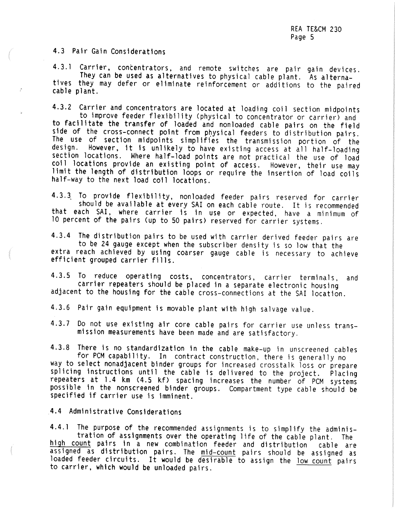4.3 Pair Gain Considerations

4.3.1 Carrier, concentrators, and remote switches are pair gain devices.<br>They can be used as alternatives to physical cable plant. As alterna-<br>tives they may defer or eliminate reinforcement or additions to the paired cable plant. They can be used as alternatives to physical cable plant. As alternatives they may defer or eliminate reinforcement or additions to the paired

4.3.2 Carrier and concentrators are located at loading coil section midpoints<br>to improve feeder flexibility (physical to concentrator or carrier) and<br>to facilitate the transfer of loaded and nonloaded cable pairs on the fi The use of section midpoints simplifies the transmission portion of the design. However, it is unlikely to have existing access at all half-loading However, it is unlikely to have existing access at all half-loading section locations. Where half-load points are not practical the use of load coil locations provide an existing point of access. However, their use may limit the length of distribution loops or require the insertion of load coils half-way to the next load coil locations.

4.3.3. To provide flexibility, nonloaded feeder pairs reserved for carrier should be available at every SAI on each cable route. It is recommended that each SAI, where carrier is in use or expected, have a minimum of 10 percent of the pairs (up to 50 pairs) reserved for carrier systems.

4.3.4 The distribution pairs to be used with carrier derived feeder pairs are to be 24 gauge except when the subscriber density is so low that the extra reach achieved by using coarser gauge cable is necessary to achieve efficient grouped carrier fills.

4.3.5 To reduce operating costs, concentrators, carrier terminals, and carrier repeaters should be placed in a separate electronic housing adjacent to the housing for the cable cross-connections at the SAI location.

4.3.6 Pair gain equipment is movable plant with high salvage value.

4.3.7 Do not use existing air core cable pairs for carrier use unless trans- mission measurements have been made and are satisfactory.

4.3.8 There is no standardization in the cable make-up in unscreened cables for PCM capability. In contract construction, there is generally no way to select nonadjacent binder groups for increased crosstalk loss or prepare splicing instructions until the cable is delivered to the project. Placing repeaters at 1.4 km (4.5 kf) spacing increases the number of PCM systems possible in the nonscreened binder groups. Compartment type cable should be specified if carrier use is imminent.

4.4 Administrative Considerations

4.4.1 The purpose of the recommended assignments is to simplify the adminis-<br>tration of assignments over the operating life of the cable plant. The<br>high count pairs in a new combination feeder and distribution cable are assigned as distribution pairs. The mid-count pairs should be assigned as loaded feeder circuits. It would be desirable to assign the low count pairs to carrier, which would be unloaded pairs.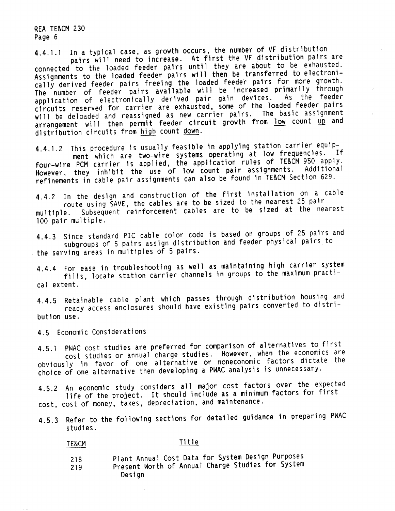4.4. 1. 1 In a typical case, as growth occurs, the number of VF distribution pairs will need to increase. At first the VF distribution pairs are connected to the loaded feeder pairs until they are about to be exhausted. Assignments to the loaded feeder pairs will then be transferred to electronically derived feeder pairs freeing the loaded feeder pairs for more growth. The number of feeder pairs available will be increased primarily through ine number of reeder parts ard taxes pair gain devices. As the feeder circuits reserved for carrier are exhausted, some of the loaded feeder pairs will be deloaded and reassigned as new carrier pairs. The basic assignment arrangement will then permit feeder circuit growth from low count up and distribution circuits from high count down.

4.4. 1.2 This procedure is usually feasible in applying station carrier equip- ment which are two-wire systems operating at low frequencies. If four-wire PCM carrier is applied, the application rules of TE&CM 950 apply. However, they inhibit the use of low count pair assignments. Additional refinements in cable pair assignments can also be found in TE&CM Section 629.

4.4.2 In the design and construction of the first installation on a cable route using SAVE, the cables are to be sized to the nearest 25 pair multiple. Subsequent reinforcement cables are to be sized at the nearest 100 pair multiple.

4.4.3 Since standard PIC cable color code is based on groups of 25 pairs and subgroups of 5 pairs assign distribution and feeder physical pairs to the serving areas in multiples of 5 pairs.

4.4.4 For ease in troubleshooting as well as maintaining high carrier system fills, locate station carrier channels in groups to the maximum practi cal extent.

4.4.5 Retainable cable plant which passes through distribution housing and ready access enclosures should have existing pairs converted to distri bution use.

4.5 Economic Considerations

4.5. 1 PWAC cost studies are preferred for comparison of alternatives to first cost studies or annual charge studies. However, when the economics are obviously in favor of one alternative or noneconomic factors dictate the choice of one alternative then developing a PWAC analysis is unnecessary.

4.5.2 An economic study considers all major cost factors over the expected life of the project. It should include as a minimum factors for first cost, cost of money, taxes, depreciation, and maintenance.

4.5.3 Refer to the following sections for detailed guidance in preparing PWAC studies.

#### TE&CM

## Title

- 218 Plant Annual Cost Data for System Design Purposes
- 219 Present Worth of Annual Charge Studies for System Design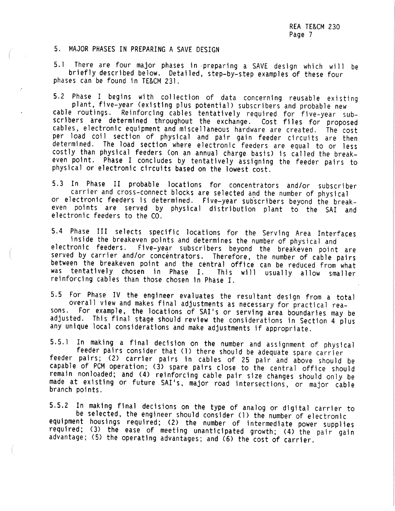5.1 There are four major phases in preparing a SAVE design which will be briefly described below. Detailed, step-by-step examples of these four phases can be found in TE&CM 231.

5.2 Phase I begins with collection of data concerning reusable existing plant, five-year (existing plus potential) subscribers and probable new cable routings. Reinforcing cables tentatively required for five-year subscribers are determined throughout the exchange. Cost files for proposed cables, electronic equipment and miscellaneous hardware are created. The cost per load coil section of physical and pair gain feeder circuits are then<br>determined. The load section where electronic feeders are equal to or less The load section where electronic feeders are equal to or less costly than physical feeders (on an annual charge basis) is called the breakeven point. Phase I concludes by tentatively assigning the feeder pairs to physical or electronic circuits based on the lowest cost.

5.3 In Phase II probable locations for concentrators and/or subscriber carrier and cross-connect blocks are selected and the number of physical or electronic feeders is determined. Five-year sub·scribers beyond the breakeven points are served by physical distribution plant to the SAI and electronic feeders to the CO.

5.4 Phase III selects specific locations for the Serving Area Interfaces inside the breakeven points and determines the number of physical and electronic feeders. Five-year subscribers beyond the breakeven point are served by carrier and/or concentrators. Therefore, the number of cable pairs between the breakeven point and the central office can be reduced from what<br>was tentatively chosen in Phase I This will usually allow smallow tentatively chosen in Phase I. This will usually allow smaller reinforcing cables than those chosen in Phase I.

5.5 For Phase IV the engineer evaluates the resultant design from a total overall view and makes final adjustments as necessary for practical rea-<br>sons. For example, the locations of SAI's or serving area boundaries may be adjusted. This final stage should review the considerations in Section 4 plus any unique local considerations and make adjustments if appropriate.

5.5.1 In making a final decision on the number and assignment of physical feeder pairs consider that (1) there should be adequate spare carrier feeder pairs; (2) carrier pairs in cables of 25 pair and above should be capable of PCM operation; (3) spare pairs close to the central office should remain nonloaded; and (4) reinforcing cable pair size changes should only be made at existing or future SAI's, major road intersections, or major cable branch points.

5.5.2 In making final decisions on the type of analog or digital carrier to be selected, the engineer should consider (1) the number of electronic equipment housings required; (2) the number of intermediate power supplies required; (3) the ease of meeting unanticipated growth; (4) the pair gain advantage; (5) the operating advantages; and (6) the cost of carrier.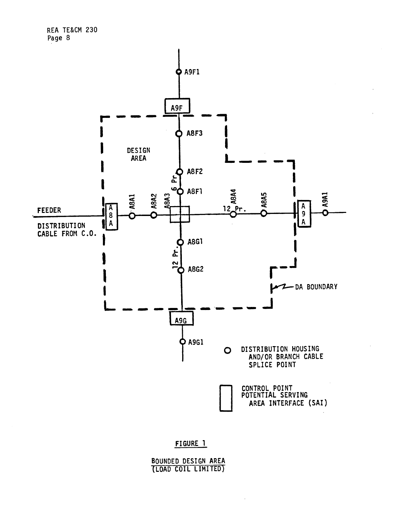

# FIGURE 1

BOUNDED DESIGN AREA (LOAD COIL LIMITED)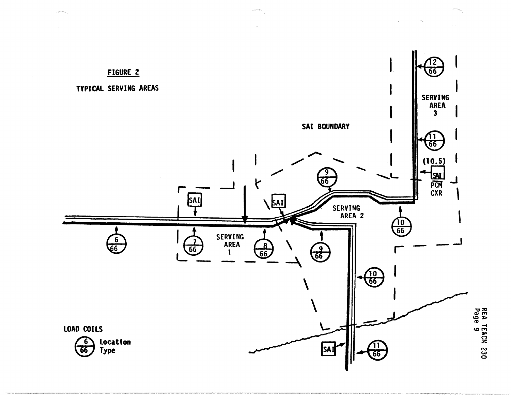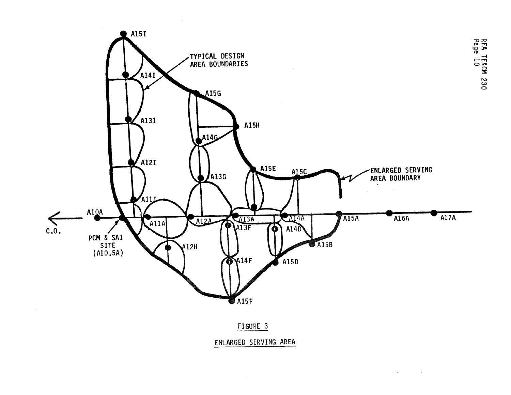

ENLARGED SERVING AREA

 $\mathcal{A}_\mathrm{c}$ 

 $\cdot$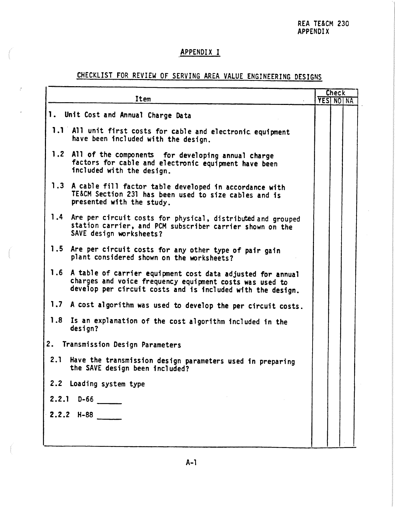# APPENDIX I

# CHECKLIST FOR REVIEW OF SERVING AREA VALUE ENGINEERING DESIGNS

| Item                                                                                                                                                                                    | <b>Check</b><br><b>YESI NOI NA</b> |  |
|-----------------------------------------------------------------------------------------------------------------------------------------------------------------------------------------|------------------------------------|--|
| 1. Unit Cost and Annual Charge Data                                                                                                                                                     |                                    |  |
| 1.1 All unit first costs for cable and electronic equipment<br>have been included with the design.                                                                                      |                                    |  |
| 1.2 All of the components for developing annual charge<br>factors for cable and electronic equipment have been<br>included with the design.                                             |                                    |  |
| 1.3 A cable fill factor table developed in accordance with<br>TE&CM Section 231 has been used to size cables and is<br>presented with the study.                                        |                                    |  |
| 1.4 Are per circuit costs for physical, distributed and grouped<br>station carrier, and PCM subscriber carrier shown on the<br>SAVE design worksheets?                                  |                                    |  |
| 1.5<br>Are per circuit costs for any other type of pair gain<br>plant considered shown on the worksheets?                                                                               |                                    |  |
| 1.6 A table of carrier equipment cost data adjusted for annual<br>charges and voice frequency equipment costs was used to<br>develop per circuit costs and is included with the design. |                                    |  |
| 1.7 A cost algorithm was used to develop the per circuit costs.                                                                                                                         |                                    |  |
| 1.8 Is an explanation of the cost algorithm included in the<br>design?                                                                                                                  |                                    |  |
| 2.<br>Transmission Design Parameters                                                                                                                                                    |                                    |  |
| 2.1 Have the transmission design parameters used in preparing<br>the SAVE design been included?                                                                                         |                                    |  |
| 2.2 Loading system type                                                                                                                                                                 |                                    |  |
| $2.2.1$ D-66                                                                                                                                                                            |                                    |  |
| $2.2.2$ H-88                                                                                                                                                                            |                                    |  |
|                                                                                                                                                                                         |                                    |  |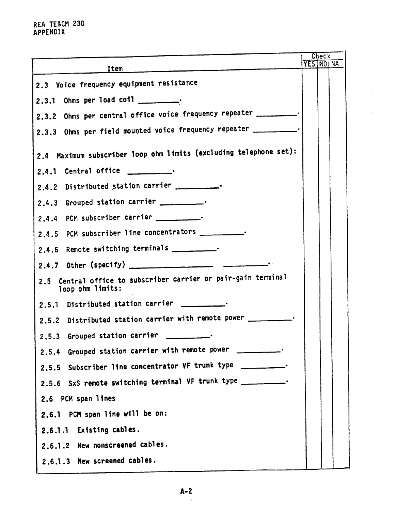|                                                                                       |            | Check |  |
|---------------------------------------------------------------------------------------|------------|-------|--|
| Item                                                                                  | YES NOI NA |       |  |
| 2.3 Voice frequency equipment resistance                                              |            |       |  |
| 2.3.1 Ohms per load coil _________.                                                   |            |       |  |
| 2.3.2 Ohms per central office voice frequency repeater __________.                    |            |       |  |
| 2.3.3 Ohms per field mounted voice frequency repeater ___________.                    |            |       |  |
| 2.4 Maximum subscriber loop ohm limits (excluding telephone set):                     |            |       |  |
| 2.4.1 Central office ___________.                                                     |            |       |  |
| 2.4.2 Distributed station carrier _______________.                                    |            |       |  |
| 2.4.3 Grouped station carrier ____________.                                           |            |       |  |
| 2.4.4 PCM subscriber carrier _____________.                                           |            |       |  |
| 2.4.5 PCM subscriber line concentrators __________.                                   |            |       |  |
| 2.4.6 Remote switching terminals ____________.                                        |            |       |  |
|                                                                                       |            |       |  |
| Central office to subscriber carrier or pair-gain terminal<br>2.5<br>loop ohm limits: |            |       |  |
| 2.5.1 Distributed station carrier ____________.                                       |            |       |  |
| 2.5.2 Distributed station carrier with remote power ___________.                      |            |       |  |
| 2.5.3 Grouped station carrier __________.                                             |            |       |  |
| 2.5.4 Grouped station carrier with remote power ____________.                         |            |       |  |
| 2.5.5 Subscriber line concentrator VF trunk type __________.                          |            |       |  |
| 2.5.6 SxS remote switching terminal VF trunk type ____________.                       |            |       |  |
| 2.6 PCM span lines                                                                    |            |       |  |
| 2.6.1 PCM span line will be on:                                                       |            |       |  |
| 2.6.1.1 Existing cables.                                                              |            |       |  |
| 2.6.1.2 New nonscreened cables.                                                       |            |       |  |
| 2.6.1.3 New screened cables.                                                          |            |       |  |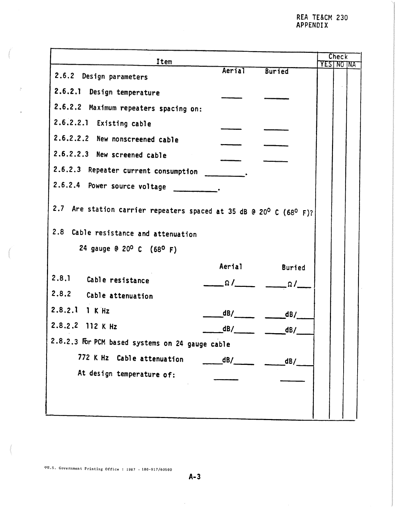| Item                                                                                                                                                                                                                                                                                                                                                                                                                                         | Check              |
|----------------------------------------------------------------------------------------------------------------------------------------------------------------------------------------------------------------------------------------------------------------------------------------------------------------------------------------------------------------------------------------------------------------------------------------------|--------------------|
| Aerial<br><b>Buried</b>                                                                                                                                                                                                                                                                                                                                                                                                                      | <b>YEST NO TNA</b> |
| 2.6.2 Design parameters                                                                                                                                                                                                                                                                                                                                                                                                                      |                    |
| 2.6.2.1 Design temperature                                                                                                                                                                                                                                                                                                                                                                                                                   |                    |
| 2.6.2.2 Maximum repeaters spacing on:                                                                                                                                                                                                                                                                                                                                                                                                        |                    |
| 2.6.2.2.1 Existing cable                                                                                                                                                                                                                                                                                                                                                                                                                     |                    |
| 2.6.2.2.2 New nonscreened cable                                                                                                                                                                                                                                                                                                                                                                                                              |                    |
| 2.6.2.2.3 New screened cable                                                                                                                                                                                                                                                                                                                                                                                                                 |                    |
| 2.6.2.3 Repeater current consumption _____________.                                                                                                                                                                                                                                                                                                                                                                                          |                    |
| 2.6.2.4 Power source voltage __________.                                                                                                                                                                                                                                                                                                                                                                                                     |                    |
| 2.7 Are station carrier repeaters spaced at 35 dB @ 20 <sup>0</sup> C (68 <sup>0</sup> F)?                                                                                                                                                                                                                                                                                                                                                   |                    |
| 2.8 Cable resistance and attenuation                                                                                                                                                                                                                                                                                                                                                                                                         |                    |
| 24 gauge @ 20 <sup>0</sup> C (68 <sup>0</sup> F)                                                                                                                                                                                                                                                                                                                                                                                             |                    |
| Aerial                                                                                                                                                                                                                                                                                                                                                                                                                                       | <b>Buried</b>      |
| 2.8.1 Cable resistance<br>$\frac{1}{\sqrt{1-\frac{1}{2}}}\frac{1}{\sqrt{1-\frac{1}{2}}\sqrt{1-\frac{1}{2}}\sqrt{1-\frac{1}{2}}\sqrt{1-\frac{1}{2}}\sqrt{1-\frac{1}{2}}\sqrt{1-\frac{1}{2}}\sqrt{1-\frac{1}{2}}\sqrt{1-\frac{1}{2}}\sqrt{1-\frac{1}{2}}\sqrt{1-\frac{1}{2}}\sqrt{1-\frac{1}{2}}\sqrt{1-\frac{1}{2}}\sqrt{1-\frac{1}{2}}\sqrt{1-\frac{1}{2}}\sqrt{1-\frac{1}{2}}\sqrt{1-\frac{1}{2}}\sqrt{1-\frac{1}{2}}\sqrt{1-\frac{1}{2}}\$ |                    |
| 2.8.2 Cable attenuation                                                                                                                                                                                                                                                                                                                                                                                                                      |                    |
| 2.8.2.1 1 K Hz<br>$dB/\frac{dB}{A}$ $dB/\frac{dB}{A}$                                                                                                                                                                                                                                                                                                                                                                                        |                    |
| 2.8.2.2 112 K Hz<br>$dB/\frac{dB}{A}$ $dB/\frac{dB}{A}$                                                                                                                                                                                                                                                                                                                                                                                      |                    |
| 2.8.2.3 For PCM based systems on 24 gauge cable                                                                                                                                                                                                                                                                                                                                                                                              |                    |
| 772 K Hz Cable attenuation<br>$\frac{dB}{ }$                                                                                                                                                                                                                                                                                                                                                                                                 | $-dB/$             |
| At design temperature of:                                                                                                                                                                                                                                                                                                                                                                                                                    |                    |
|                                                                                                                                                                                                                                                                                                                                                                                                                                              |                    |
|                                                                                                                                                                                                                                                                                                                                                                                                                                              |                    |
|                                                                                                                                                                                                                                                                                                                                                                                                                                              |                    |

J;<U,S, Government Printing Office : 1987 - 180-917/60500

 $\frac{1}{2}$